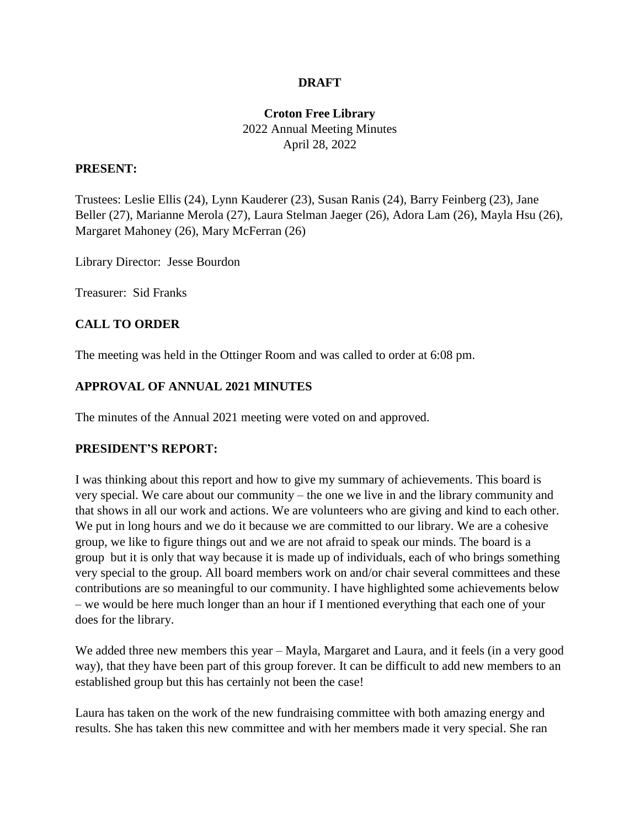#### **DRAFT**

## **Croton Free Library** 2022 Annual Meeting Minutes April 28, 2022

#### **PRESENT:**

Trustees: Leslie Ellis (24), Lynn Kauderer (23), Susan Ranis (24), Barry Feinberg (23), Jane Beller (27), Marianne Merola (27), Laura Stelman Jaeger (26), Adora Lam (26), Mayla Hsu (26), Margaret Mahoney (26), Mary McFerran (26)

Library Director: Jesse Bourdon

Treasurer: Sid Franks

### **CALL TO ORDER**

The meeting was held in the Ottinger Room and was called to order at 6:08 pm.

### **APPROVAL OF ANNUAL 2021 MINUTES**

The minutes of the Annual 2021 meeting were voted on and approved.

#### **PRESIDENT'S REPORT:**

I was thinking about this report and how to give my summary of achievements. This board is very special. We care about our community – the one we live in and the library community and that shows in all our work and actions. We are volunteers who are giving and kind to each other. We put in long hours and we do it because we are committed to our library. We are a cohesive group, we like to figure things out and we are not afraid to speak our minds. The board is a group but it is only that way because it is made up of individuals, each of who brings something very special to the group. All board members work on and/or chair several committees and these contributions are so meaningful to our community. I have highlighted some achievements below – we would be here much longer than an hour if I mentioned everything that each one of your does for the library.

We added three new members this year – Mayla, Margaret and Laura, and it feels (in a very good way), that they have been part of this group forever. It can be difficult to add new members to an established group but this has certainly not been the case!

Laura has taken on the work of the new fundraising committee with both amazing energy and results. She has taken this new committee and with her members made it very special. She ran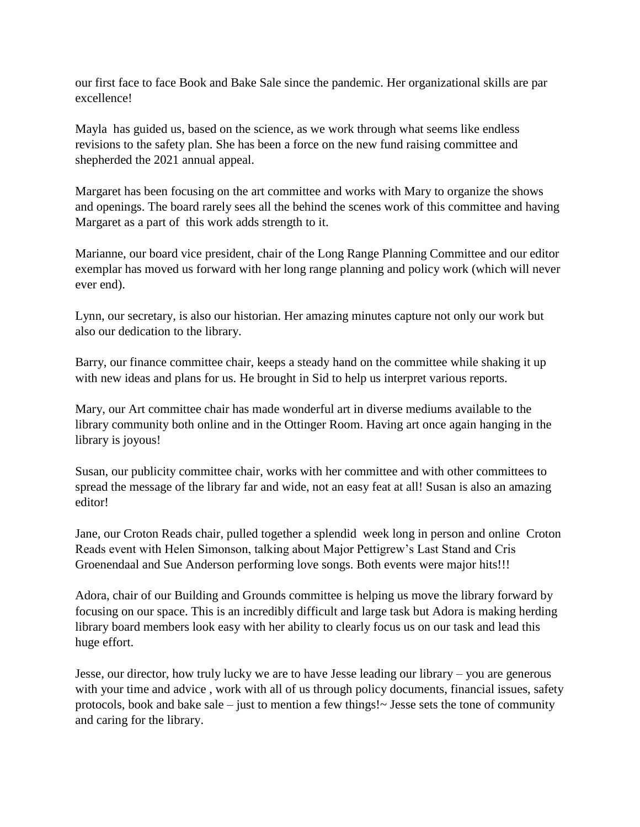our first face to face Book and Bake Sale since the pandemic. Her organizational skills are par excellence!

Mayla has guided us, based on the science, as we work through what seems like endless revisions to the safety plan. She has been a force on the new fund raising committee and shepherded the 2021 annual appeal.

Margaret has been focusing on the art committee and works with Mary to organize the shows and openings. The board rarely sees all the behind the scenes work of this committee and having Margaret as a part of this work adds strength to it.

Marianne, our board vice president, chair of the Long Range Planning Committee and our editor exemplar has moved us forward with her long range planning and policy work (which will never ever end).

Lynn, our secretary, is also our historian. Her amazing minutes capture not only our work but also our dedication to the library.

Barry, our finance committee chair, keeps a steady hand on the committee while shaking it up with new ideas and plans for us. He brought in Sid to help us interpret various reports.

Mary, our Art committee chair has made wonderful art in diverse mediums available to the library community both online and in the Ottinger Room. Having art once again hanging in the library is joyous!

Susan, our publicity committee chair, works with her committee and with other committees to spread the message of the library far and wide, not an easy feat at all! Susan is also an amazing editor!

Jane, our Croton Reads chair, pulled together a splendid week long in person and online Croton Reads event with Helen Simonson, talking about Major Pettigrew's Last Stand and Cris Groenendaal and Sue Anderson performing love songs. Both events were major hits!!!

Adora, chair of our Building and Grounds committee is helping us move the library forward by focusing on our space. This is an incredibly difficult and large task but Adora is making herding library board members look easy with her ability to clearly focus us on our task and lead this huge effort.

Jesse, our director, how truly lucky we are to have Jesse leading our library – you are generous with your time and advice , work with all of us through policy documents, financial issues, safety protocols, book and bake sale – just to mention a few things! $\sim$  Jesse sets the tone of community and caring for the library.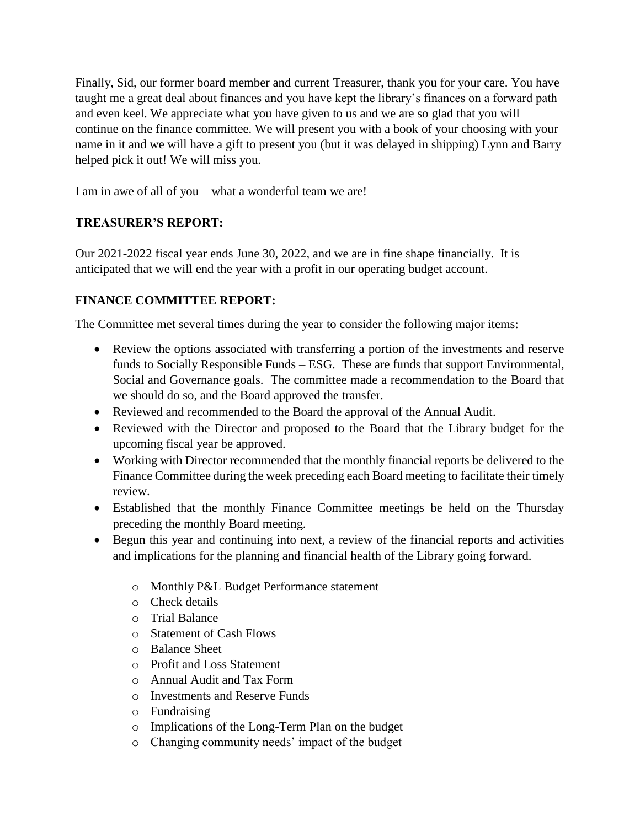Finally, Sid, our former board member and current Treasurer, thank you for your care. You have taught me a great deal about finances and you have kept the library's finances on a forward path and even keel. We appreciate what you have given to us and we are so glad that you will continue on the finance committee. We will present you with a book of your choosing with your name in it and we will have a gift to present you (but it was delayed in shipping) Lynn and Barry helped pick it out! We will miss you.

I am in awe of all of you – what a wonderful team we are!

# **TREASURER'S REPORT:**

Our 2021-2022 fiscal year ends June 30, 2022, and we are in fine shape financially. It is anticipated that we will end the year with a profit in our operating budget account.

## **FINANCE COMMITTEE REPORT:**

The Committee met several times during the year to consider the following major items:

- Review the options associated with transferring a portion of the investments and reserve funds to Socially Responsible Funds – ESG. These are funds that support Environmental, Social and Governance goals. The committee made a recommendation to the Board that we should do so, and the Board approved the transfer.
- Reviewed and recommended to the Board the approval of the Annual Audit.
- Reviewed with the Director and proposed to the Board that the Library budget for the upcoming fiscal year be approved.
- Working with Director recommended that the monthly financial reports be delivered to the Finance Committee during the week preceding each Board meeting to facilitate their timely review.
- Established that the monthly Finance Committee meetings be held on the Thursday preceding the monthly Board meeting.
- Begun this year and continuing into next, a review of the financial reports and activities and implications for the planning and financial health of the Library going forward.
	- o Monthly P&L Budget Performance statement
	- o Check details
	- o Trial Balance
	- o Statement of Cash Flows
	- o Balance Sheet
	- o Profit and Loss Statement
	- o Annual Audit and Tax Form
	- o Investments and Reserve Funds
	- o Fundraising
	- o Implications of the Long-Term Plan on the budget
	- o Changing community needs' impact of the budget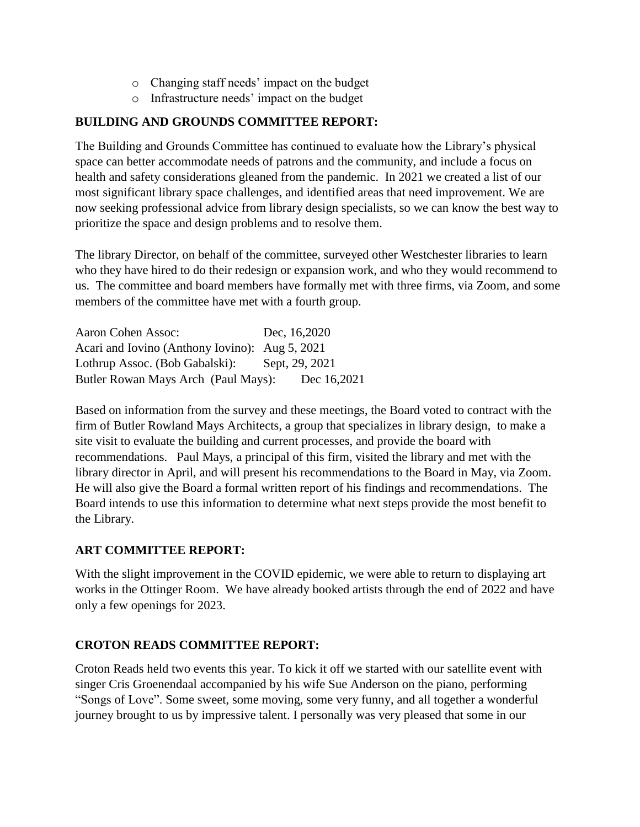- o Changing staff needs' impact on the budget
- o Infrastructure needs' impact on the budget

# **BUILDING AND GROUNDS COMMITTEE REPORT:**

The Building and Grounds Committee has continued to evaluate how the Library's physical space can better accommodate needs of patrons and the community, and include a focus on health and safety considerations gleaned from the pandemic. In 2021 we created a list of our most significant library space challenges, and identified areas that need improvement. We are now seeking professional advice from library design specialists, so we can know the best way to prioritize the space and design problems and to resolve them.

The library Director, on behalf of the committee, surveyed other Westchester libraries to learn who they have hired to do their redesign or expansion work, and who they would recommend to us. The committee and board members have formally met with three firms, via Zoom, and some members of the committee have met with a fourth group.

Aaron Cohen Assoc: Dec, 16,2020 Acari and Iovino (Anthony Iovino): Aug 5, 2021 Lothrup Assoc. (Bob Gabalski): Sept, 29, 2021 Butler Rowan Mays Arch (Paul Mays): Dec 16,2021

Based on information from the survey and these meetings, the Board voted to contract with the firm of Butler Rowland Mays Architects, a group that specializes in library design, to make a site visit to evaluate the building and current processes, and provide the board with recommendations. Paul Mays, a principal of this firm, visited the library and met with the library director in April, and will present his recommendations to the Board in May, via Zoom. He will also give the Board a formal written report of his findings and recommendations. The Board intends to use this information to determine what next steps provide the most benefit to the Library.

# **ART COMMITTEE REPORT:**

With the slight improvement in the COVID epidemic, we were able to return to displaying art works in the Ottinger Room. We have already booked artists through the end of 2022 and have only a few openings for 2023.

# **CROTON READS COMMITTEE REPORT:**

Croton Reads held two events this year. To kick it off we started with our satellite event with singer Cris Groenendaal accompanied by his wife Sue Anderson on the piano, performing "Songs of Love". Some sweet, some moving, some very funny, and all together a wonderful journey brought to us by impressive talent. I personally was very pleased that some in our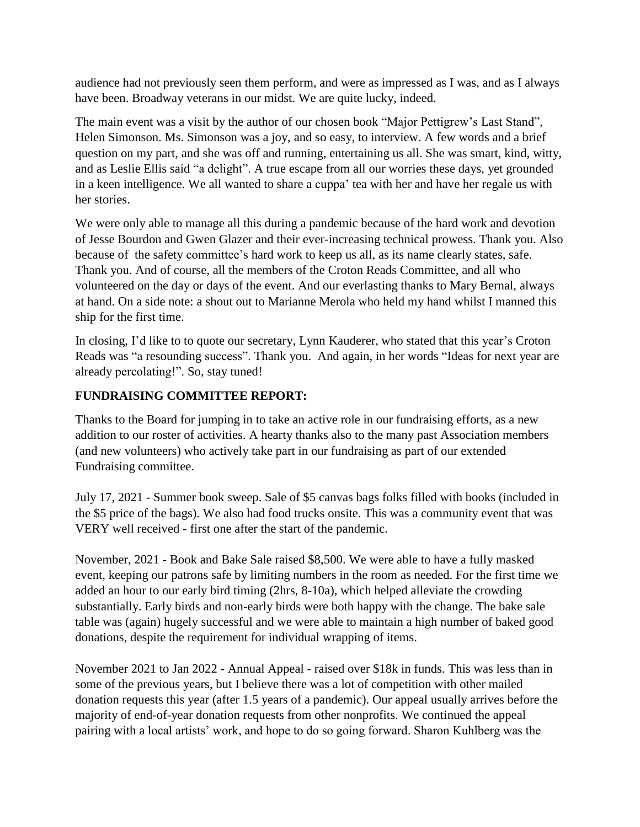audience had not previously seen them perform, and were as impressed as I was, and as I always have been. Broadway veterans in our midst. We are quite lucky, indeed.

The main event was a visit by the author of our chosen book "Major Pettigrew's Last Stand", Helen Simonson. Ms. Simonson was a joy, and so easy, to interview. A few words and a brief question on my part, and she was off and running, entertaining us all. She was smart, kind, witty, and as Leslie Ellis said "a delight". A true escape from all our worries these days, yet grounded in a keen intelligence. We all wanted to share a cuppa' tea with her and have her regale us with her stories.

We were only able to manage all this during a pandemic because of the hard work and devotion of Jesse Bourdon and Gwen Glazer and their ever-increasing technical prowess. Thank you. Also because of the safety committee's hard work to keep us all, as its name clearly states, safe. Thank you. And of course, all the members of the Croton Reads Committee, and all who volunteered on the day or days of the event. And our everlasting thanks to Mary Bernal, always at hand. On a side note: a shout out to Marianne Merola who held my hand whilst I manned this ship for the first time.

In closing, I'd like to to quote our secretary, Lynn Kauderer, who stated that this year's Croton Reads was "a resounding success". Thank you. And again, in her words "Ideas for next year are already percolating!". So, stay tuned!

# **FUNDRAISING COMMITTEE REPORT:**

Thanks to the Board for jumping in to take an active role in our fundraising efforts, as a new addition to our roster of activities. A hearty thanks also to the many past Association members (and new volunteers) who actively take part in our fundraising as part of our extended Fundraising committee.

July 17, 2021 - Summer book sweep. Sale of \$5 canvas bags folks filled with books (included in the \$5 price of the bags). We also had food trucks onsite. This was a community event that was VERY well received - first one after the start of the pandemic.

November, 2021 - Book and Bake Sale raised \$8,500. We were able to have a fully masked event, keeping our patrons safe by limiting numbers in the room as needed. For the first time we added an hour to our early bird timing (2hrs, 8-10a), which helped alleviate the crowding substantially. Early birds and non-early birds were both happy with the change. The bake sale table was (again) hugely successful and we were able to maintain a high number of baked good donations, despite the requirement for individual wrapping of items.

November 2021 to Jan 2022 - Annual Appeal - raised over \$18k in funds. This was less than in some of the previous years, but I believe there was a lot of competition with other mailed donation requests this year (after 1.5 years of a pandemic). Our appeal usually arrives before the majority of end-of-year donation requests from other nonprofits. We continued the appeal pairing with a local artists' work, and hope to do so going forward. Sharon Kuhlberg was the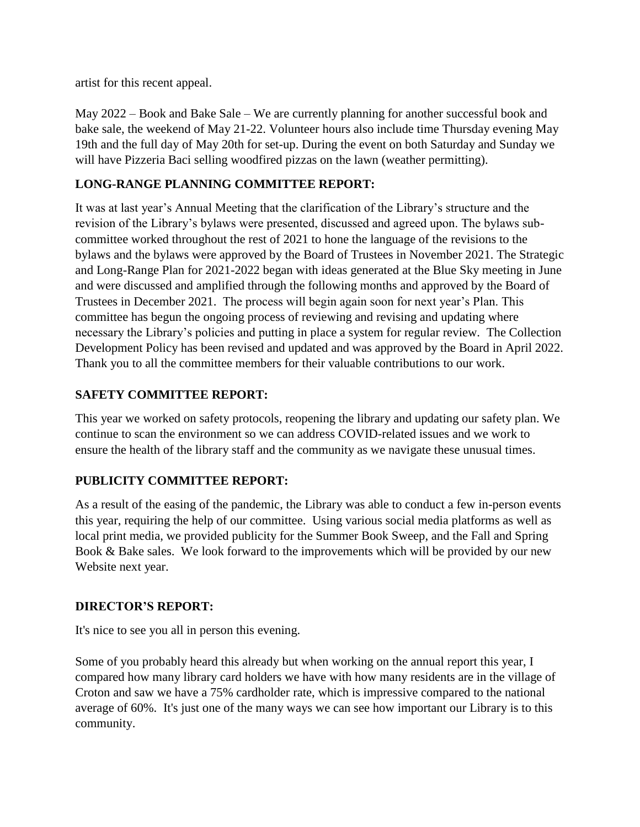artist for this recent appeal.

May 2022 – Book and Bake Sale – We are currently planning for another successful book and bake sale, the weekend of May 21-22. Volunteer hours also include time Thursday evening May 19th and the full day of May 20th for set-up. During the event on both Saturday and Sunday we will have Pizzeria Baci selling woodfired pizzas on the lawn (weather permitting).

## **LONG-RANGE PLANNING COMMITTEE REPORT:**

It was at last year's Annual Meeting that the clarification of the Library's structure and the revision of the Library's bylaws were presented, discussed and agreed upon. The bylaws subcommittee worked throughout the rest of 2021 to hone the language of the revisions to the bylaws and the bylaws were approved by the Board of Trustees in November 2021. The Strategic and Long-Range Plan for 2021-2022 began with ideas generated at the Blue Sky meeting in June and were discussed and amplified through the following months and approved by the Board of Trustees in December 2021. The process will begin again soon for next year's Plan. This committee has begun the ongoing process of reviewing and revising and updating where necessary the Library's policies and putting in place a system for regular review. The Collection Development Policy has been revised and updated and was approved by the Board in April 2022. Thank you to all the committee members for their valuable contributions to our work.

### **SAFETY COMMITTEE REPORT:**

This year we worked on safety protocols, reopening the library and updating our safety plan. We continue to scan the environment so we can address COVID-related issues and we work to ensure the health of the library staff and the community as we navigate these unusual times.

# **PUBLICITY COMMITTEE REPORT:**

As a result of the easing of the pandemic, the Library was able to conduct a few in-person events this year, requiring the help of our committee. Using various social media platforms as well as local print media, we provided publicity for the Summer Book Sweep, and the Fall and Spring Book & Bake sales. We look forward to the improvements which will be provided by our new Website next year.

### **DIRECTOR'S REPORT:**

It's nice to see you all in person this evening.

Some of you probably heard this already but when working on the annual report this year, I compared how many library card holders we have with how many residents are in the village of Croton and saw we have a 75% cardholder rate, which is impressive compared to the national average of 60%. It's just one of the many ways we can see how important our Library is to this community.